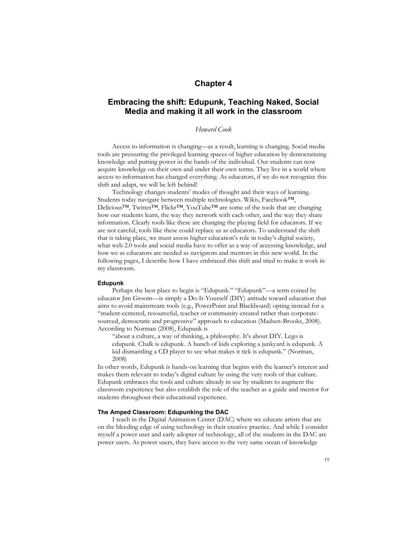## **Chapter 4**

# **Embracing the shift: Edupunk, Teaching Naked, Social Media and making it all work in the classroom**

## *Howard Cook*

Access to information is changing—as a result, learning is changing. Social media tools are pressuring the privileged learning spaces of higher education by democratizing knowledge and putting power in the hands of the individual. Our students can now acquire knowledge on their own and under their own terms. They live in a world where access to information has changed everything. As educators, if we do not recognize this shift and adapt, we will be left behind!

Technology changes students' modes of thought and their ways of learning. Students today navigate between multiple technologies. Wikis, Facebook™, Delicious™, Twitter™, Flickr™, YouTube™ are some of the tools that are changing how our students learn, the way they network with each other, and the way they share information. Clearly tools like these are changing the playing field for educators. If we are not careful, tools like these could replace us as educators. To understand the shift that is taking place, we must assess higher education's role in today's digital society, what web 2.0 tools and social media have to offer as a way of accessing knowledge, and how we as educators are needed as navigators and mentors in this new world. In the following pages, I describe how I have embraced this shift and tried to make it work in my classroom.

#### **Edupunk**

Perhaps the best place to begin is "Edupunk." "Edupunk"—a term coined by educator Jim Groom—is simply a Do-It-Yourself (DIY) attitude toward education that aims to avoid mainstream tools (e.g., PowerPoint and Blackboard) opting instead for a "student-centered, resourceful, teacher or community-created rather than corporatesourced, democratic and progressive" approach to education (Madsen-Brooks, 2008). According to Norman (2008), Edupunk is

"about a culture, a way of thinking, a philosophy. It's about DIY. Lego is edupunk. Chalk is edupunk. A bunch of kids exploring a junkyard is edupunk. A kid dismantling a CD player to see what makes it tick is edupunk." (Norman, 2008)

In other words, Edupunk is hands-on learning that begins with the learner's interest and makes them relevant to today's digital culture by using the very tools of that culture. Edupunk embraces the tools and culture already in use by students to augment the classroom experience but also establish the role of the teacher as a guide and mentor for students throughout their educational experience.

#### **The Amped Classroom: Edupunking the DAC**

I teach in the Digital Animation Center (DAC) where we educate artists that are on the bleeding edge of using technology in their creative practice. And while I consider myself a power user and early adopter of technology, all of the students in the DAC are power users. As power users, they have access to the very same ocean of knowledge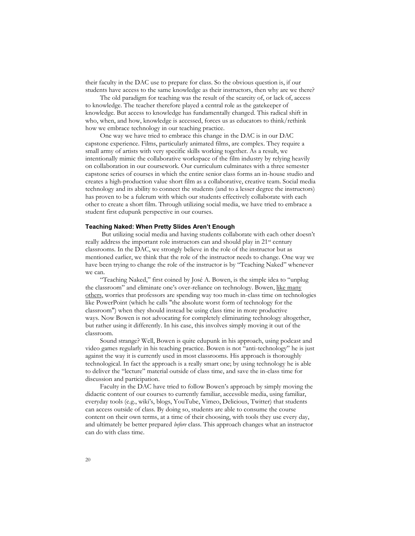their faculty in the DAC use to prepare for class. So the obvious question is, if our students have access to the same knowledge as their instructors, then why are we there?

The old paradigm for teaching was the result of the scarcity of, or lack of, access to knowledge. The teacher therefore played a central role as the gatekeeper of knowledge. But access to knowledge has fundamentally changed. This radical shift in who, when, and how, knowledge is accessed, forces us as educators to think/rethink how we embrace technology in our teaching practice.

One way we have tried to embrace this change in the DAC is in our DAC capstone experience. Films, particularly animated films, are complex. They require a small army of artists with very specific skills working together. As a result, we intentionally mimic the collaborative workspace of the film industry by relying heavily on collaboration in our coursework. Our curriculum culminates with a three semester capstone series of courses in which the entire senior class forms an in-house studio and creates a high-production value short film as a collaborative, creative team. Social media technology and its ability to connect the students (and to a lesser degree the instructors) has proven to be a fulcrum with which our students effectively collaborate with each other to create a short film. Through utilizing social media, we have tried to embrace a student first edupunk perspective in our courses.

### **Teaching Naked: When Pretty Slides Aren't Enough**

But utilizing social media and having students collaborate with each other doesn't really address the important role instructors can and should play in 21<sup>st</sup> century classrooms. In the DAC, we strongly believe in the role of the instructor but as mentioned earlier, we think that the role of the instructor needs to change. One way we have been trying to change the role of the instructor is by "Teaching Naked" whenever we can.

"Teaching Naked," first coined by José A. Bowen, is the simple idea to "unplug the classroom" and eliminate one's over-reliance on technology. Bowen, like many others, worries that professors are spending way too much in-class time on technologies like PowerPoint (which he calls "the absolute worst form of technology for the classroom") when they should instead be using class time in more productive ways. Now Bowen is not advocating for completely eliminating technology altogether, but rather using it differently. In his case, this involves simply moving it out of the classroom.

Sound strange? Well, Bowen is quite edupunk in his approach, using podcast and video games regularly in his teaching practice. Bowen is not "anti-technology" he is just against the way it is currently used in most classrooms. His approach is thoroughly technological. In fact the approach is a really smart one; by using technology he is able to deliver the "lecture" material outside of class time, and save the in-class time for discussion and participation.

Faculty in the DAC have tried to follow Bowen's approach by simply moving the didactic content of our courses to currently familiar, accessible media, using familiar, everyday tools (e.g., wiki's, blogs, YouTube, Vimeo, Delicious, Twitter) that students can access outside of class. By doing so, students are able to consume the course content on their own terms, at a time of their choosing, with tools they use every day, and ultimately be better prepared *before* class. This approach changes what an instructor can do with class time.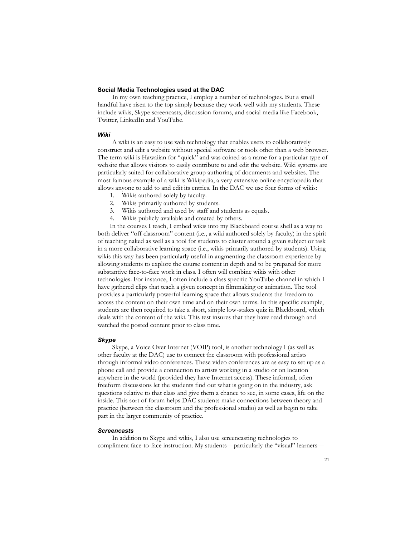## **Social Media Technologies used at the DAC**

In my own teaching practice, I employ a number of technologies. But a small handful have risen to the top simply because they work well with my students. These include wikis, Skype screencasts, discussion forums, and social media like Facebook, Twitter, LinkedIn and YouTube.

## *Wiki*

A wiki is an easy to use web technology that enables users to collaboratively construct and edit a website without special software or tools other than a web browser. The term wiki is Hawaiian for "quick" and was coined as a name for a particular type of website that allows visitors to easily contribute to and edit the website. Wiki systems are particularly suited for collaborative group authoring of documents and websites. The most famous example of a wiki is Wikipedia, a very extensive online encyclopedia that allows anyone to add to and edit its entries. In the DAC we use four forms of wikis:

- 1. Wikis authored solely by faculty.
- 2. Wikis primarily authored by students.
- 3. Wikis authored and used by staff and students as equals.
- 4. Wikis publicly available and created by others.

In the courses I teach, I embed wikis into my Blackboard course shell as a way to both deliver "off classroom" content (i.e., a wiki authored solely by faculty) in the spirit of teaching naked as well as a tool for students to cluster around a given subject or task in a more collaborative learning space (i.e., wikis primarily authored by students). Using wikis this way has been particularly useful in augmenting the classroom experience by allowing students to explore the course content in depth and to be prepared for more substantive face-to-face work in class. I often will combine wikis with other technologies. For instance, I often include a class specific YouTube channel in which I have gathered clips that teach a given concept in filmmaking or animation. The tool provides a particularly powerful learning space that allows students the freedom to access the content on their own time and on their own terms. In this specific example, students are then required to take a short, simple low-stakes quiz in Blackboard, which deals with the content of the wiki. This test insures that they have read through and watched the posted content prior to class time.

#### *Skype*

Skype, a Voice Over Internet (VOIP) tool, is another technology I (as well as other faculty at the DAC) use to connect the classroom with professional artists through informal video conferences. These video conferences are as easy to set up as a phone call and provide a connection to artists working in a studio or on location anywhere in the world (provided they have Internet access). These informal, often freeform discussions let the students find out what is going on in the industry, ask questions relative to that class and give them a chance to see, in some cases, life on the inside. This sort of forum helps DAC students make connections between theory and practice (between the classroom and the professional studio) as well as begin to take part in the larger community of practice.

#### *Screencasts*

In addition to Skype and wikis, I also use screencasting technologies to compliment face-to-face instruction. My students—particularly the "visual" learners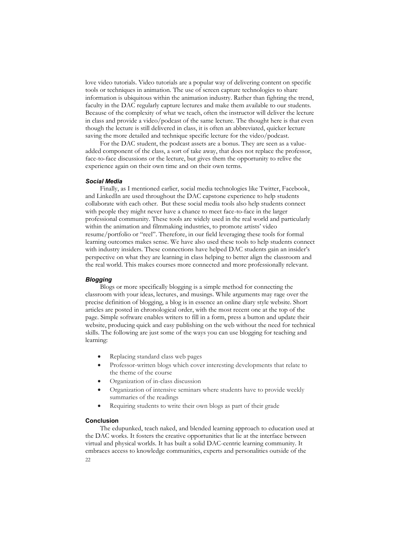love video tutorials. Video tutorials are a popular way of delivering content on specific tools or techniques in animation. The use of screen capture technologies to share information is ubiquitous within the animation industry. Rather than fighting the trend, faculty in the DAC regularly capture lectures and make them available to our students. Because of the complexity of what we teach, often the instructor will deliver the lecture in class and provide a video/podcast of the same lecture. The thought here is that even though the lecture is still delivered in class, it is often an abbreviated, quicker lecture saving the more detailed and technique specific lecture for the video/podcast.

For the DAC student, the podcast assets are a bonus. They are seen as a valueadded component of the class, a sort of take away, that does not replace the professor, face-to-face discussions or the lecture, but gives them the opportunity to relive the experience again on their own time and on their own terms.

## *Social Media*

Finally, as I mentioned earlier, social media technologies like Twitter, Facebook, and LinkedIn are used throughout the DAC capstone experience to help students collaborate with each other. But these social media tools also help students connect with people they might never have a chance to meet face-to-face in the larger professional community. These tools are widely used in the real world and particularly within the animation and filmmaking industries, to promote artists' video resume/portfolio or "reel". Therefore, in our field leveraging these tools for formal learning outcomes makes sense. We have also used these tools to help students connect with industry insiders. These connections have helped DAC students gain an insider's perspective on what they are learning in class helping to better align the classroom and the real world. This makes courses more connected and more professionally relevant.

## *Blogging*

Blogs or more specifically blogging is a simple method for connecting the classroom with your ideas, lectures, and musings. While arguments may rage over the precise definition of blogging, a blog is in essence an online diary style website. Short articles are posted in chronological order, with the most recent one at the top of the page. Simple software enables writers to fill in a form, press a button and update their website, producing quick and easy publishing on the web without the need for technical skills. The following are just some of the ways you can use blogging for teaching and learning:

- Replacing standard class web pages
- Professor-written blogs which cover interesting developments that relate to the theme of the course
- Organization of in-class discussion
- Organization of intensive seminars where students have to provide weekly summaries of the readings
- Requiring students to write their own blogs as part of their grade

## **Conclusion**

 $22$ The edupunked, teach naked, and blended learning approach to education used at the DAC works. It fosters the creative opportunities that lie at the interface between virtual and physical worlds. It has built a solid DAC-centric learning community. It embraces access to knowledge communities, experts and personalities outside of the